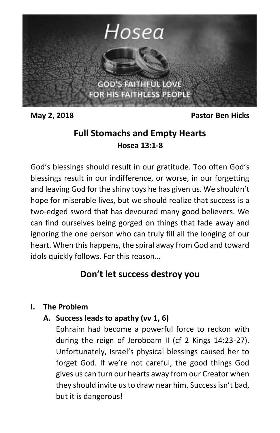

**May 2, 2018 Pastor Ben Hicks**

## **Full Stomachs and Empty Hearts Hosea 13:1-8**

God's blessings should result in our gratitude. Too often God's blessings result in our indifference, or worse, in our forgetting and leaving God for the shiny toys he has given us. We shouldn't hope for miserable lives, but we should realize that success is a two-edged sword that has devoured many good believers. We can find ourselves being gorged on things that fade away and ignoring the one person who can truly fill all the longing of our heart. When this happens, the spiral away from God and toward idols quickly follows. For this reason…

# **Don't let success destroy you**

## **I. The Problem**

## **A. Success leads to apathy (vv 1, 6)**

Ephraim had become a powerful force to reckon with during the reign of Jeroboam II (cf 2 Kings 14:23-27). Unfortunately, Israel's physical blessings caused her to forget God. If we're not careful, the good things God gives us can turn our hearts away from our Creator when they should invite us to draw near him. Success isn't bad, but it is dangerous!